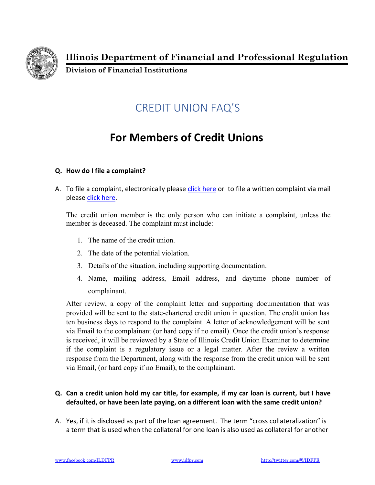

**Illinois Department of Financial and Professional Regulation** 

**Division of Financial Institutions** 

## CREDIT UNION FAQ'S

## **For Members of Credit Unions**

## **Q. How do I file a complaint?**

A. To file a complaint, electronically please click here or to file a written complaint via mail please click here.

The credit union member is the only person who can initiate a complaint, unless the member is deceased. The complaint must include:

- 1. The name of the credit union.
- 2. The date of the potential violation.
- 3. Details of the situation, including supporting documentation.
- 4. Name, mailing address, Email address, and daytime phone number of complainant.

After review, a copy of the complaint letter and supporting documentation that was provided will be sent to the state-chartered credit union in question. The credit union has ten business days to respond to the complaint. A letter of acknowledgement will be sent via Email to the complainant (or hard copy if no email). Once the credit union's response is received, it will be reviewed by a State of Illinois Credit Union Examiner to determine if the complaint is a regulatory issue or a legal matter. After the review a written response from the Department, along with the response from the credit union will be sent via Email, (or hard copy if no Email), to the complainant.

## **Q. Can a credit union hold my car title, for example, if my car loan is current, but I have defaulted, or have been late paying, on a different loan with the same credit union?**

A. Yes, if it is disclosed as part of the loan agreement. The term "cross collateralization" is a term that is used when the collateral for one loan is also used as collateral for another